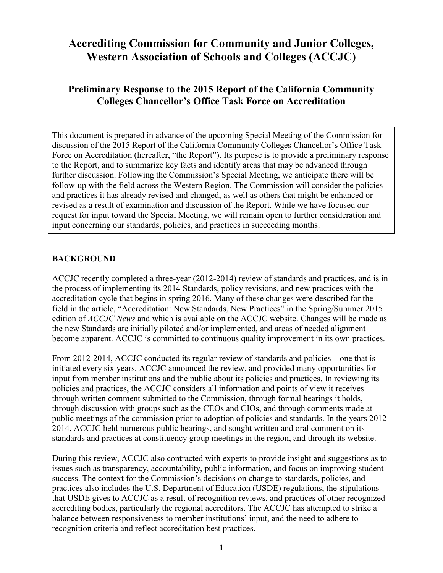# **Accrediting Commission for Community and Junior Colleges, Western Association of Schools and Colleges (ACCJC)**

## **Preliminary Response to the 2015 Report of the California Community Colleges Chancellor's Office Task Force on Accreditation**

This document is prepared in advance of the upcoming Special Meeting of the Commission for discussion of the 2015 Report of the California Community Colleges Chancellor's Office Task Force on Accreditation (hereafter, "the Report"). Its purpose is to provide a preliminary response to the Report, and to summarize key facts and identify areas that may be advanced through further discussion. Following the Commission's Special Meeting, we anticipate there will be follow-up with the field across the Western Region. The Commission will consider the policies and practices it has already revised and changed, as well as others that might be enhanced or revised as a result of examination and discussion of the Report. While we have focused our request for input toward the Special Meeting, we will remain open to further consideration and input concerning our standards, policies, and practices in succeeding months.

## **BACKGROUND**

ACCJC recently completed a three-year (2012-2014) review of standards and practices, and is in the process of implementing its 2014 Standards, policy revisions, and new practices with the accreditation cycle that begins in spring 2016. Many of these changes were described for the field in the article, "Accreditation: New Standards, New Practices" in the Spring/Summer 2015 edition of *ACCJC News* and which is available on the ACCJC website. Changes will be made as the new Standards are initially piloted and/or implemented, and areas of needed alignment become apparent. ACCJC is committed to continuous quality improvement in its own practices.

From 2012-2014, ACCJC conducted its regular review of standards and policies – one that is initiated every six years. ACCJC announced the review, and provided many opportunities for input from member institutions and the public about its policies and practices. In reviewing its policies and practices, the ACCJC considers all information and points of view it receives through written comment submitted to the Commission, through formal hearings it holds, through discussion with groups such as the CEOs and CIOs, and through comments made at public meetings of the commission prior to adoption of policies and standards. In the years 2012- 2014, ACCJC held numerous public hearings, and sought written and oral comment on its standards and practices at constituency group meetings in the region, and through its website.

During this review, ACCJC also contracted with experts to provide insight and suggestions as to issues such as transparency, accountability, public information, and focus on improving student success. The context for the Commission's decisions on change to standards, policies, and practices also includes the U.S. Department of Education (USDE) regulations, the stipulations that USDE gives to ACCJC as a result of recognition reviews, and practices of other recognized accrediting bodies, particularly the regional accreditors. The ACCJC has attempted to strike a balance between responsiveness to member institutions' input, and the need to adhere to recognition criteria and reflect accreditation best practices.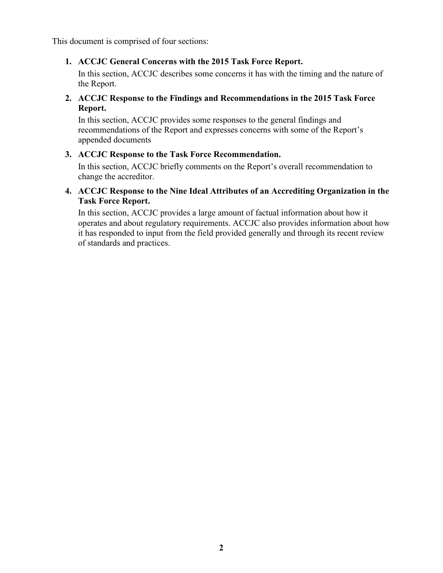This document is comprised of four sections:

## **1. ACCJC General Concerns with the 2015 Task Force Report.**

In this section, ACCJC describes some concerns it has with the timing and the nature of the Report.

## **2. ACCJC Response to the Findings and Recommendations in the 2015 Task Force Report.**

In this section, ACCJC provides some responses to the general findings and recommendations of the Report and expresses concerns with some of the Report's appended documents

## **3. ACCJC Response to the Task Force Recommendation.**

In this section, ACCJC briefly comments on the Report's overall recommendation to change the accreditor.

## **4. ACCJC Response to the Nine Ideal Attributes of an Accrediting Organization in the Task Force Report.**

In this section, ACCJC provides a large amount of factual information about how it operates and about regulatory requirements. ACCJC also provides information about how it has responded to input from the field provided generally and through its recent review of standards and practices.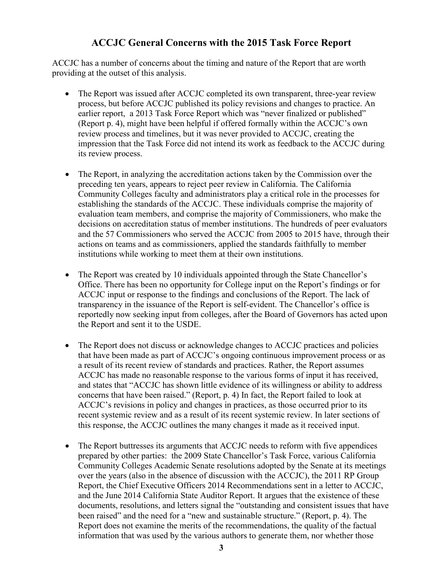## **ACCJC General Concerns with the 2015 Task Force Report**

ACCJC has a number of concerns about the timing and nature of the Report that are worth providing at the outset of this analysis.

- The Report was issued after ACCJC completed its own transparent, three-year review process, but before ACCJC published its policy revisions and changes to practice. An earlier report, a 2013 Task Force Report which was "never finalized or published" (Report p. 4), might have been helpful if offered formally within the ACCJC's own review process and timelines, but it was never provided to ACCJC, creating the impression that the Task Force did not intend its work as feedback to the ACCJC during its review process.
- The Report, in analyzing the accreditation actions taken by the Commission over the preceding ten years, appears to reject peer review in California. The California Community Colleges faculty and administrators play a critical role in the processes for establishing the standards of the ACCJC. These individuals comprise the majority of evaluation team members, and comprise the majority of Commissioners, who make the decisions on accreditation status of member institutions. The hundreds of peer evaluators and the 57 Commissioners who served the ACCJC from 2005 to 2015 have, through their actions on teams and as commissioners, applied the standards faithfully to member institutions while working to meet them at their own institutions.
- The Report was created by 10 individuals appointed through the State Chancellor's Office. There has been no opportunity for College input on the Report's findings or for ACCJC input or response to the findings and conclusions of the Report. The lack of transparency in the issuance of the Report is self-evident. The Chancellor's office is reportedly now seeking input from colleges, after the Board of Governors has acted upon the Report and sent it to the USDE.
- The Report does not discuss or acknowledge changes to ACCJC practices and policies that have been made as part of ACCJC's ongoing continuous improvement process or as a result of its recent review of standards and practices. Rather, the Report assumes ACCJC has made no reasonable response to the various forms of input it has received, and states that "ACCJC has shown little evidence of its willingness or ability to address concerns that have been raised." (Report, p. 4) In fact, the Report failed to look at ACCJC's revisions in policy and changes in practices, as those occurred prior to its recent systemic review and as a result of its recent systemic review. In later sections of this response, the ACCJC outlines the many changes it made as it received input.
- The Report buttresses its arguments that ACCJC needs to reform with five appendices prepared by other parties: the 2009 State Chancellor's Task Force, various California Community Colleges Academic Senate resolutions adopted by the Senate at its meetings over the years (also in the absence of discussion with the ACCJC), the 2011 RP Group Report, the Chief Executive Officers 2014 Recommendations sent in a letter to ACCJC, and the June 2014 California State Auditor Report. It argues that the existence of these documents, resolutions, and letters signal the "outstanding and consistent issues that have been raised" and the need for a "new and sustainable structure." (Report, p. 4). The Report does not examine the merits of the recommendations, the quality of the factual information that was used by the various authors to generate them, nor whether those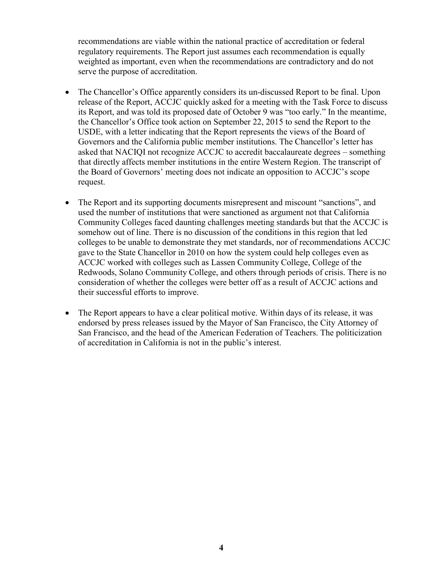recommendations are viable within the national practice of accreditation or federal regulatory requirements. The Report just assumes each recommendation is equally weighted as important, even when the recommendations are contradictory and do not serve the purpose of accreditation.

- The Chancellor's Office apparently considers its un-discussed Report to be final. Upon release of the Report, ACCJC quickly asked for a meeting with the Task Force to discuss its Report, and was told its proposed date of October 9 was "too early." In the meantime, the Chancellor's Office took action on September 22, 2015 to send the Report to the USDE, with a letter indicating that the Report represents the views of the Board of Governors and the California public member institutions. The Chancellor's letter has asked that NACIQI not recognize ACCJC to accredit baccalaureate degrees – something that directly affects member institutions in the entire Western Region. The transcript of the Board of Governors' meeting does not indicate an opposition to ACCJC's scope request.
- The Report and its supporting documents misrepresent and miscount "sanctions", and used the number of institutions that were sanctioned as argument not that California Community Colleges faced daunting challenges meeting standards but that the ACCJC is somehow out of line. There is no discussion of the conditions in this region that led colleges to be unable to demonstrate they met standards, nor of recommendations ACCJC gave to the State Chancellor in 2010 on how the system could help colleges even as ACCJC worked with colleges such as Lassen Community College, College of the Redwoods, Solano Community College, and others through periods of crisis. There is no consideration of whether the colleges were better off as a result of ACCJC actions and their successful efforts to improve.
- The Report appears to have a clear political motive. Within days of its release, it was endorsed by press releases issued by the Mayor of San Francisco, the City Attorney of San Francisco, and the head of the American Federation of Teachers. The politicization of accreditation in California is not in the public's interest.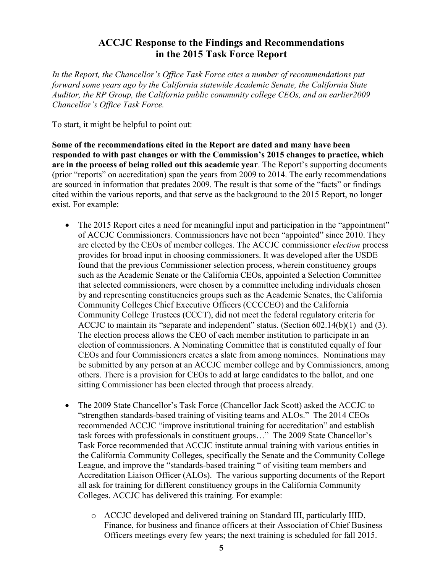## **ACCJC Response to the Findings and Recommendations in the 2015 Task Force Report**

*In the Report, the Chancellor's Office Task Force cites a number of recommendations put forward some years ago by the California statewide Academic Senate, the California State Auditor, the RP Group, the California public community college CEOs, and an earlier2009 Chancellor's Office Task Force.* 

To start, it might be helpful to point out:

**Some of the recommendations cited in the Report are dated and many have been responded to with past changes or with the Commission's 2015 changes to practice, which are in the process of being rolled out this academic year**. The Report's supporting documents (prior "reports" on accreditation) span the years from 2009 to 2014. The early recommendations are sourced in information that predates 2009. The result is that some of the "facts" or findings cited within the various reports, and that serve as the background to the 2015 Report, no longer exist. For example:

- The 2015 Report cites a need for meaningful input and participation in the "appointment" of ACCJC Commissioners. Commissioners have not been "appointed" since 2010. They are elected by the CEOs of member colleges. The ACCJC commissioner *election* process provides for broad input in choosing commissioners. It was developed after the USDE found that the previous Commissioner selection process, wherein constituency groups such as the Academic Senate or the California CEOs, appointed a Selection Committee that selected commissioners, were chosen by a committee including individuals chosen by and representing constituencies groups such as the Academic Senates, the California Community Colleges Chief Executive Officers (CCCCEO) and the California Community College Trustees (CCCT), did not meet the federal regulatory criteria for ACCJC to maintain its "separate and independent" status. (Section 602.14(b)(1) and (3). The election process allows the CEO of each member institution to participate in an election of commissioners. A Nominating Committee that is constituted equally of four CEOs and four Commissioners creates a slate from among nominees. Nominations may be submitted by any person at an ACCJC member college and by Commissioners, among others. There is a provision for CEOs to add at large candidates to the ballot, and one sitting Commissioner has been elected through that process already.
- The 2009 State Chancellor's Task Force (Chancellor Jack Scott) asked the ACCJC to "strengthen standards-based training of visiting teams and ALOs." The 2014 CEOs recommended ACCJC "improve institutional training for accreditation" and establish task forces with professionals in constituent groups…" The 2009 State Chancellor's Task Force recommended that ACCJC institute annual training with various entities in the California Community Colleges, specifically the Senate and the Community College League, and improve the "standards-based training " of visiting team members and Accreditation Liaison Officer (ALOs). The various supporting documents of the Report all ask for training for different constituency groups in the California Community Colleges. ACCJC has delivered this training. For example:
	- o ACCJC developed and delivered training on Standard III, particularly IIID, Finance, for business and finance officers at their Association of Chief Business Officers meetings every few years; the next training is scheduled for fall 2015.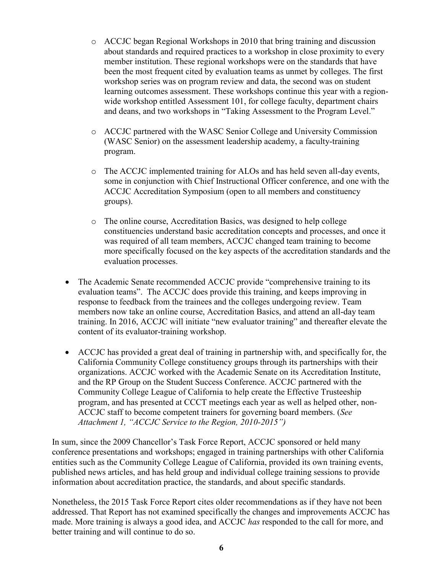- o ACCJC began Regional Workshops in 2010 that bring training and discussion about standards and required practices to a workshop in close proximity to every member institution. These regional workshops were on the standards that have been the most frequent cited by evaluation teams as unmet by colleges. The first workshop series was on program review and data, the second was on student learning outcomes assessment. These workshops continue this year with a regionwide workshop entitled Assessment 101, for college faculty, department chairs and deans, and two workshops in "Taking Assessment to the Program Level."
- o ACCJC partnered with the WASC Senior College and University Commission (WASC Senior) on the assessment leadership academy, a faculty-training program.
- o The ACCJC implemented training for ALOs and has held seven all-day events, some in conjunction with Chief Instructional Officer conference, and one with the ACCJC Accreditation Symposium (open to all members and constituency groups).
- o The online course, Accreditation Basics, was designed to help college constituencies understand basic accreditation concepts and processes, and once it was required of all team members, ACCJC changed team training to become more specifically focused on the key aspects of the accreditation standards and the evaluation processes.
- The Academic Senate recommended ACCJC provide "comprehensive training to its evaluation teams". The ACCJC does provide this training, and keeps improving in response to feedback from the trainees and the colleges undergoing review. Team members now take an online course, Accreditation Basics, and attend an all-day team training. In 2016, ACCJC will initiate "new evaluator training" and thereafter elevate the content of its evaluator-training workshop.
- ACCJC has provided a great deal of training in partnership with, and specifically for, the California Community College constituency groups through its partnerships with their organizations. ACCJC worked with the Academic Senate on its Accreditation Institute, and the RP Group on the Student Success Conference. ACCJC partnered with the Community College League of California to help create the Effective Trusteeship program, and has presented at CCCT meetings each year as well as helped other, non-ACCJC staff to become competent trainers for governing board members. (*See Attachment 1, "ACCJC Service to the Region, 2010-2015")*

In sum, since the 2009 Chancellor's Task Force Report, ACCJC sponsored or held many conference presentations and workshops; engaged in training partnerships with other California entities such as the Community College League of California, provided its own training events, published news articles, and has held group and individual college training sessions to provide information about accreditation practice, the standards, and about specific standards.

Nonetheless, the 2015 Task Force Report cites older recommendations as if they have not been addressed. That Report has not examined specifically the changes and improvements ACCJC has made. More training is always a good idea, and ACCJC *has* responded to the call for more, and better training and will continue to do so.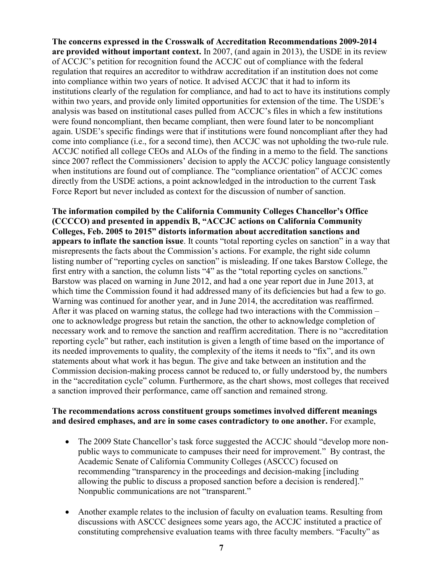**The concerns expressed in the Crosswalk of Accreditation Recommendations 2009-2014 are provided without important context.** In 2007, (and again in 2013), the USDE in its review of ACCJC's petition for recognition found the ACCJC out of compliance with the federal regulation that requires an accreditor to withdraw accreditation if an institution does not come into compliance within two years of notice. It advised ACCJC that it had to inform its institutions clearly of the regulation for compliance, and had to act to have its institutions comply within two years, and provide only limited opportunities for extension of the time. The USDE's analysis was based on institutional cases pulled from ACCJC's files in which a few institutions were found noncompliant, then became compliant, then were found later to be noncompliant again. USDE's specific findings were that if institutions were found noncompliant after they had come into compliance (i.e., for a second time), then ACCJC was not upholding the two-rule rule. ACCJC notified all college CEOs and ALOs of the finding in a memo to the field. The sanctions since 2007 reflect the Commissioners' decision to apply the ACCJC policy language consistently when institutions are found out of compliance. The "compliance orientation" of ACCJC comes directly from the USDE actions, a point acknowledged in the introduction to the current Task Force Report but never included as context for the discussion of number of sanction.

**The information compiled by the California Community Colleges Chancellor's Office (CCCCO) and presented in appendix B, "ACCJC actions on California Community Colleges, Feb. 2005 to 2015" distorts information about accreditation sanctions and appears to inflate the sanction issue**. It counts "total reporting cycles on sanction" in a way that misrepresents the facts about the Commission's actions. For example, the right side column listing number of "reporting cycles on sanction" is misleading. If one takes Barstow College, the first entry with a sanction, the column lists "4" as the "total reporting cycles on sanctions." Barstow was placed on warning in June 2012, and had a one year report due in June 2013, at which time the Commission found it had addressed many of its deficiencies but had a few to go. Warning was continued for another year, and in June 2014, the accreditation was reaffirmed. After it was placed on warning status, the college had two interactions with the Commission – one to acknowledge progress but retain the sanction, the other to acknowledge completion of necessary work and to remove the sanction and reaffirm accreditation. There is no "accreditation reporting cycle" but rather, each institution is given a length of time based on the importance of its needed improvements to quality, the complexity of the items it needs to "fix", and its own statements about what work it has begun. The give and take between an institution and the Commission decision-making process cannot be reduced to, or fully understood by, the numbers in the "accreditation cycle" column. Furthermore, as the chart shows, most colleges that received a sanction improved their performance, came off sanction and remained strong.

#### **The recommendations across constituent groups sometimes involved different meanings and desired emphases, and are in some cases contradictory to one another.** For example,

- The 2009 State Chancellor's task force suggested the ACCJC should "develop more nonpublic ways to communicate to campuses their need for improvement." By contrast, the Academic Senate of California Community Colleges (ASCCC) focused on recommending "transparency in the proceedings and decision-making [including allowing the public to discuss a proposed sanction before a decision is rendered]." Nonpublic communications are not "transparent."
- Another example relates to the inclusion of faculty on evaluation teams. Resulting from discussions with ASCCC designees some years ago, the ACCJC instituted a practice of constituting comprehensive evaluation teams with three faculty members. "Faculty" as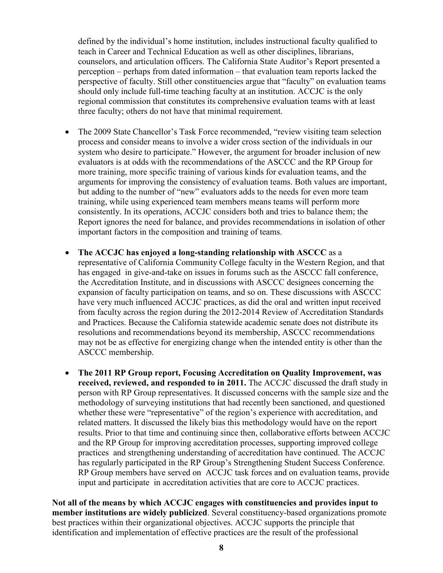defined by the individual's home institution, includes instructional faculty qualified to teach in Career and Technical Education as well as other disciplines, librarians, counselors, and articulation officers. The California State Auditor's Report presented a perception – perhaps from dated information – that evaluation team reports lacked the perspective of faculty. Still other constituencies argue that "faculty" on evaluation teams should only include full-time teaching faculty at an institution. ACCJC is the only regional commission that constitutes its comprehensive evaluation teams with at least three faculty; others do not have that minimal requirement.

- The 2009 State Chancellor's Task Force recommended, "review visiting team selection process and consider means to involve a wider cross section of the individuals in our system who desire to participate." However, the argument for broader inclusion of new evaluators is at odds with the recommendations of the ASCCC and the RP Group for more training, more specific training of various kinds for evaluation teams, and the arguments for improving the consistency of evaluation teams. Both values are important, but adding to the number of "new" evaluators adds to the needs for even more team training, while using experienced team members means teams will perform more consistently. In its operations, ACCJC considers both and tries to balance them; the Report ignores the need for balance, and provides recommendations in isolation of other important factors in the composition and training of teams.
- **The ACCJC has enjoyed a long-standing relationship with ASCCC** as a representative of California Community College faculty in the Western Region, and that has engaged in give-and-take on issues in forums such as the ASCCC fall conference, the Accreditation Institute, and in discussions with ASCCC designees concerning the expansion of faculty participation on teams, and so on. These discussions with ASCCC have very much influenced ACCJC practices, as did the oral and written input received from faculty across the region during the 2012-2014 Review of Accreditation Standards and Practices. Because the California statewide academic senate does not distribute its resolutions and recommendations beyond its membership, ASCCC recommendations may not be as effective for energizing change when the intended entity is other than the ASCCC membership.
- **The 2011 RP Group report, Focusing Accreditation on Quality Improvement, was received, reviewed, and responded to in 2011.** The ACCJC discussed the draft study in person with RP Group representatives. It discussed concerns with the sample size and the methodology of surveying institutions that had recently been sanctioned, and questioned whether these were "representative" of the region's experience with accreditation, and related matters. It discussed the likely bias this methodology would have on the report results. Prior to that time and continuing since then, collaborative efforts between ACCJC and the RP Group for improving accreditation processes, supporting improved college practices and strengthening understanding of accreditation have continued. The ACCJC has regularly participated in the RP Group's Strengthening Student Success Conference. RP Group members have served on ACCJC task forces and on evaluation teams, provide input and participate in accreditation activities that are core to ACCJC practices.

**Not all of the means by which ACCJC engages with constituencies and provides input to member institutions are widely publicized**. Several constituency-based organizations promote best practices within their organizational objectives. ACCJC supports the principle that identification and implementation of effective practices are the result of the professional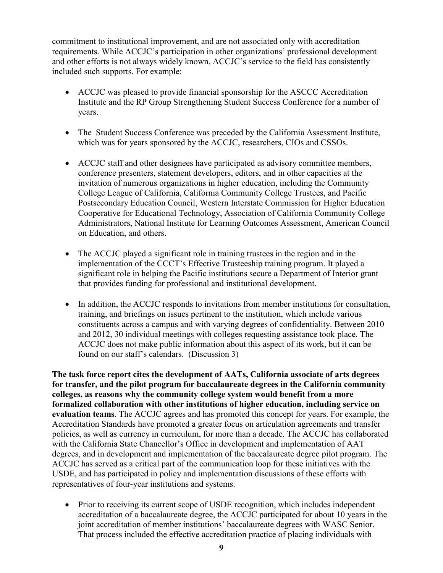commitment to institutional improvement, and are not associated only with accreditation requirements. While ACCJC's participation in other organizations' professional development and other efforts is not always widely known, ACCJC's service to the field has consistently included such supports. For example:

- ACCJC was pleased to provide financial sponsorship for the ASCCC Accreditation Institute and the RP Group Strengthening Student Success Conference for a number of years.
- The Student Success Conference was preceded by the California Assessment Institute, which was for years sponsored by the ACCJC, researchers, CIOs and CSSOs.
- ACCJC staff and other designees have participated as advisory committee members, conference presenters, statement developers, editors, and in other capacities at the invitation of numerous organizations in higher education, including the Community College League of California, California Community College Trustees, and Pacific Postsecondary Education Council, Western Interstate Commission for Higher Education Cooperative for Educational Technology, Association of California Community College Administrators, National Institute for Learning Outcomes Assessment, American Council on Education, and others.
- The ACCJC played a significant role in training trustees in the region and in the implementation of the CCCT's Effective Trusteeship training program. It played a significant role in helping the Pacific institutions secure a Department of Interior grant that provides funding for professional and institutional development.
- In addition, the ACCJC responds to invitations from member institutions for consultation, training, and briefings on issues pertinent to the institution, which include various constituents across a campus and with varying degrees of confidentiality. Between 2010 and 2012, 30 individual meetings with colleges requesting assistance took place. The ACCJC does not make public information about this aspect of its work, but it can be found on our staff's calendars. (Discussion 3)

**The task force report cites the development of AATs, California associate of arts degrees for transfer, and the pilot program for baccalaureate degrees in the California community colleges, as reasons why the community college system would benefit from a more formalized collaboration with other institutions of higher education, including service on evaluation teams**. The ACCJC agrees and has promoted this concept for years. For example, the Accreditation Standards have promoted a greater focus on articulation agreements and transfer policies, as well as currency in curriculum, for more than a decade. The ACCJC has collaborated with the California State Chancellor's Office in development and implementation of AAT degrees, and in development and implementation of the baccalaureate degree pilot program. The ACCJC has served as a critical part of the communication loop for these initiatives with the USDE, and has participated in policy and implementation discussions of these efforts with representatives of four-year institutions and systems.

• Prior to receiving its current scope of USDE recognition, which includes independent accreditation of a baccalaureate degree, the ACCJC participated for about 10 years in the joint accreditation of member institutions' baccalaureate degrees with WASC Senior. That process included the effective accreditation practice of placing individuals with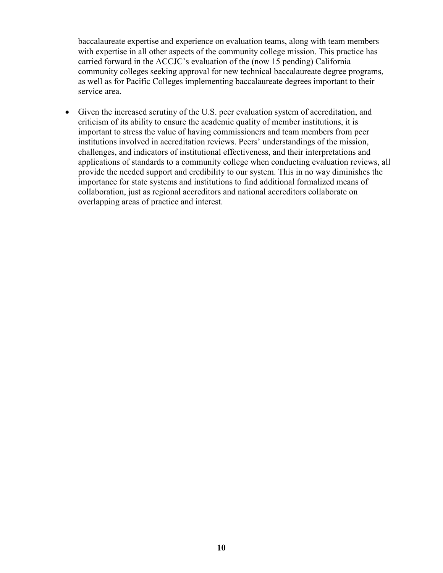baccalaureate expertise and experience on evaluation teams, along with team members with expertise in all other aspects of the community college mission. This practice has carried forward in the ACCJC's evaluation of the (now 15 pending) California community colleges seeking approval for new technical baccalaureate degree programs, as well as for Pacific Colleges implementing baccalaureate degrees important to their service area.

 Given the increased scrutiny of the U.S. peer evaluation system of accreditation, and criticism of its ability to ensure the academic quality of member institutions, it is important to stress the value of having commissioners and team members from peer institutions involved in accreditation reviews. Peers' understandings of the mission, challenges, and indicators of institutional effectiveness, and their interpretations and applications of standards to a community college when conducting evaluation reviews, all provide the needed support and credibility to our system. This in no way diminishes the importance for state systems and institutions to find additional formalized means of collaboration, just as regional accreditors and national accreditors collaborate on overlapping areas of practice and interest.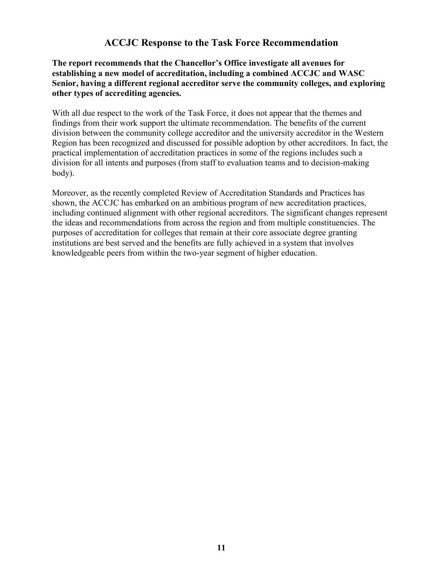## **ACCJC Response to the Task Force Recommendation**

**The report recommends that the Chancellor's Office investigate all avenues for establishing a new model of accreditation, including a combined ACCJC and WASC Senior, having a different regional accreditor serve the community colleges, and exploring other types of accrediting agencies***.*

With all due respect to the work of the Task Force, it does not appear that the themes and findings from their work support the ultimate recommendation. The benefits of the current division between the community college accreditor and the university accreditor in the Western Region has been recognized and discussed for possible adoption by other accreditors. In fact, the practical implementation of accreditation practices in some of the regions includes such a division for all intents and purposes (from staff to evaluation teams and to decision-making body).

Moreover, as the recently completed Review of Accreditation Standards and Practices has shown, the ACCJC has embarked on an ambitious program of new accreditation practices, including continued alignment with other regional accreditors. The significant changes represent the ideas and recommendations from across the region and from multiple constituencies. The purposes of accreditation for colleges that remain at their core associate degree granting institutions are best served and the benefits are fully achieved in a system that involves knowledgeable peers from within the two-year segment of higher education.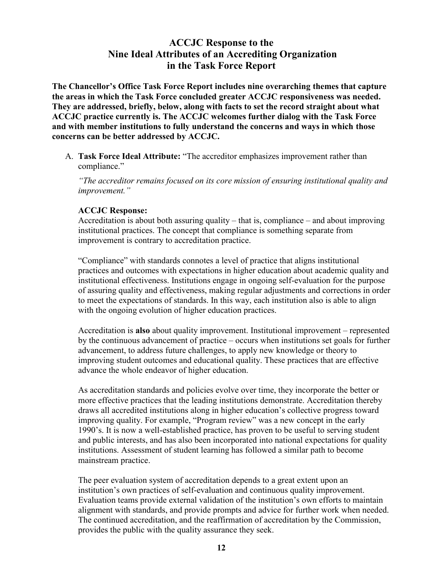## **ACCJC Response to the Nine Ideal Attributes of an Accrediting Organization in the Task Force Report**

**The Chancellor's Office Task Force Report includes nine overarching themes that capture the areas in which the Task Force concluded greater ACCJC responsiveness was needed. They are addressed, briefly, below, along with facts to set the record straight about what ACCJC practice currently is. The ACCJC welcomes further dialog with the Task Force and with member institutions to fully understand the concerns and ways in which those concerns can be better addressed by ACCJC.** 

A. **Task Force Ideal Attribute:** "The accreditor emphasizes improvement rather than compliance."

*"The accreditor remains focused on its core mission of ensuring institutional quality and improvement."* 

## **ACCJC Response:**

Accreditation is about both assuring quality – that is, compliance – and about improving institutional practices. The concept that compliance is something separate from improvement is contrary to accreditation practice.

"Compliance" with standards connotes a level of practice that aligns institutional practices and outcomes with expectations in higher education about academic quality and institutional effectiveness. Institutions engage in ongoing self-evaluation for the purpose of assuring quality and effectiveness, making regular adjustments and corrections in order to meet the expectations of standards. In this way, each institution also is able to align with the ongoing evolution of higher education practices.

Accreditation is **also** about quality improvement. Institutional improvement – represented by the continuous advancement of practice – occurs when institutions set goals for further advancement, to address future challenges, to apply new knowledge or theory to improving student outcomes and educational quality. These practices that are effective advance the whole endeavor of higher education.

As accreditation standards and policies evolve over time, they incorporate the better or more effective practices that the leading institutions demonstrate. Accreditation thereby draws all accredited institutions along in higher education's collective progress toward improving quality. For example, "Program review" was a new concept in the early 1990's. It is now a well-established practice, has proven to be useful to serving student and public interests, and has also been incorporated into national expectations for quality institutions. Assessment of student learning has followed a similar path to become mainstream practice.

The peer evaluation system of accreditation depends to a great extent upon an institution's own practices of self-evaluation and continuous quality improvement. Evaluation teams provide external validation of the institution's own efforts to maintain alignment with standards, and provide prompts and advice for further work when needed. The continued accreditation, and the reaffirmation of accreditation by the Commission, provides the public with the quality assurance they seek.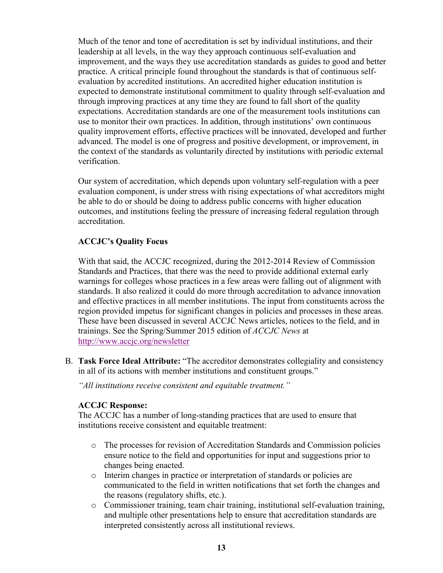Much of the tenor and tone of accreditation is set by individual institutions, and their leadership at all levels, in the way they approach continuous self-evaluation and improvement, and the ways they use accreditation standards as guides to good and better practice. A critical principle found throughout the standards is that of continuous selfevaluation by accredited institutions. An accredited higher education institution is expected to demonstrate institutional commitment to quality through self-evaluation and through improving practices at any time they are found to fall short of the quality expectations. Accreditation standards are one of the measurement tools institutions can use to monitor their own practices. In addition, through institutions' own continuous quality improvement efforts, effective practices will be innovated, developed and further advanced. The model is one of progress and positive development, or improvement, in the context of the standards as voluntarily directed by institutions with periodic external verification.

Our system of accreditation, which depends upon voluntary self-regulation with a peer evaluation component, is under stress with rising expectations of what accreditors might be able to do or should be doing to address public concerns with higher education outcomes, and institutions feeling the pressure of increasing federal regulation through accreditation.

## **ACCJC's Quality Focus**

With that said, the ACCJC recognized, during the 2012-2014 Review of Commission Standards and Practices, that there was the need to provide additional external early warnings for colleges whose practices in a few areas were falling out of alignment with standards. It also realized it could do more through accreditation to advance innovation and effective practices in all member institutions. The input from constituents across the region provided impetus for significant changes in policies and processes in these areas. These have been discussed in several ACCJC News articles, notices to the field, and in trainings. See the Spring/Summer 2015 edition of *ACCJC News* at <http://www.accjc.org/newsletter>

B. **Task Force Ideal Attribute:** "The accreditor demonstrates collegiality and consistency in all of its actions with member institutions and constituent groups."

*"All institutions receive consistent and equitable treatment."* 

## **ACCJC Response:**

The ACCJC has a number of long-standing practices that are used to ensure that institutions receive consistent and equitable treatment:

- o The processes for revision of Accreditation Standards and Commission policies ensure notice to the field and opportunities for input and suggestions prior to changes being enacted.
- o Interim changes in practice or interpretation of standards or policies are communicated to the field in written notifications that set forth the changes and the reasons (regulatory shifts, etc.).
- o Commissioner training, team chair training, institutional self-evaluation training, and multiple other presentations help to ensure that accreditation standards are interpreted consistently across all institutional reviews.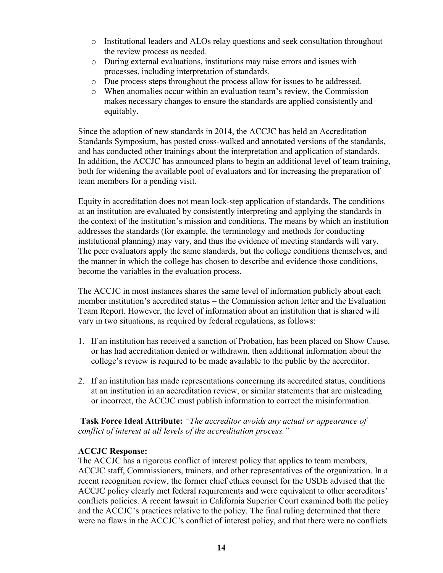- o Institutional leaders and ALOs relay questions and seek consultation throughout the review process as needed.
- o During external evaluations, institutions may raise errors and issues with processes, including interpretation of standards.
- o Due process steps throughout the process allow for issues to be addressed.
- o When anomalies occur within an evaluation team's review, the Commission makes necessary changes to ensure the standards are applied consistently and equitably.

Since the adoption of new standards in 2014, the ACCJC has held an Accreditation Standards Symposium, has posted cross-walked and annotated versions of the standards, and has conducted other trainings about the interpretation and application of standards. In addition, the ACCJC has announced plans to begin an additional level of team training, both for widening the available pool of evaluators and for increasing the preparation of team members for a pending visit.

Equity in accreditation does not mean lock-step application of standards. The conditions at an institution are evaluated by consistently interpreting and applying the standards in the context of the institution's mission and conditions. The means by which an institution addresses the standards (for example, the terminology and methods for conducting institutional planning) may vary, and thus the evidence of meeting standards will vary. The peer evaluators apply the same standards, but the college conditions themselves, and the manner in which the college has chosen to describe and evidence those conditions, become the variables in the evaluation process.

The ACCJC in most instances shares the same level of information publicly about each member institution's accredited status – the Commission action letter and the Evaluation Team Report. However, the level of information about an institution that is shared will vary in two situations, as required by federal regulations, as follows:

- 1. If an institution has received a sanction of Probation, has been placed on Show Cause, or has had accreditation denied or withdrawn, then additional information about the college's review is required to be made available to the public by the accreditor.
- 2. If an institution has made representations concerning its accredited status, conditions at an institution in an accreditation review, or similar statements that are misleading or incorrect, the ACCJC must publish information to correct the misinformation.

**Task Force Ideal Attribute:** *"The accreditor avoids any actual or appearance of conflict of interest at all levels of the accreditation process."* 

## **ACCJC Response:**

The ACCJC has a rigorous conflict of interest policy that applies to team members, ACCJC staff, Commissioners, trainers, and other representatives of the organization. In a recent recognition review, the former chief ethics counsel for the USDE advised that the ACCJC policy clearly met federal requirements and were equivalent to other accreditors' conflicts policies. A recent lawsuit in California Superior Court examined both the policy and the ACCJC's practices relative to the policy. The final ruling determined that there were no flaws in the ACCJC's conflict of interest policy, and that there were no conflicts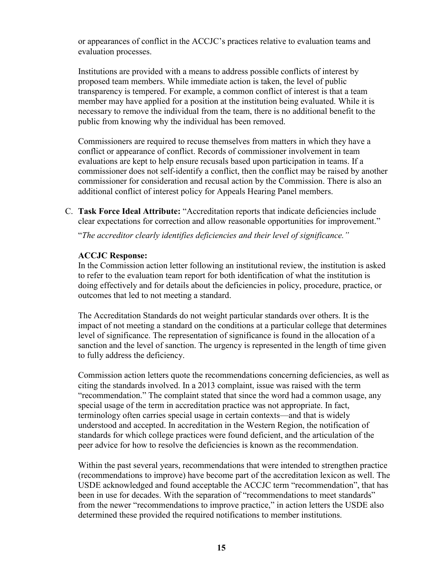or appearances of conflict in the ACCJC's practices relative to evaluation teams and evaluation processes.

Institutions are provided with a means to address possible conflicts of interest by proposed team members. While immediate action is taken, the level of public transparency is tempered. For example, a common conflict of interest is that a team member may have applied for a position at the institution being evaluated. While it is necessary to remove the individual from the team, there is no additional benefit to the public from knowing why the individual has been removed.

Commissioners are required to recuse themselves from matters in which they have a conflict or appearance of conflict. Records of commissioner involvement in team evaluations are kept to help ensure recusals based upon participation in teams. If a commissioner does not self-identify a conflict, then the conflict may be raised by another commissioner for consideration and recusal action by the Commission. There is also an additional conflict of interest policy for Appeals Hearing Panel members.

C. **Task Force Ideal Attribute:** "Accreditation reports that indicate deficiencies include clear expectations for correction and allow reasonable opportunities for improvement."

"*The accreditor clearly identifies deficiencies and their level of significance."* 

## **ACCJC Response:**

In the Commission action letter following an institutional review, the institution is asked to refer to the evaluation team report for both identification of what the institution is doing effectively and for details about the deficiencies in policy, procedure, practice, or outcomes that led to not meeting a standard.

The Accreditation Standards do not weight particular standards over others. It is the impact of not meeting a standard on the conditions at a particular college that determines level of significance. The representation of significance is found in the allocation of a sanction and the level of sanction. The urgency is represented in the length of time given to fully address the deficiency.

Commission action letters quote the recommendations concerning deficiencies, as well as citing the standards involved. In a 2013 complaint, issue was raised with the term "recommendation." The complaint stated that since the word had a common usage, any special usage of the term in accreditation practice was not appropriate. In fact, terminology often carries special usage in certain contexts—and that is widely understood and accepted. In accreditation in the Western Region, the notification of standards for which college practices were found deficient, and the articulation of the peer advice for how to resolve the deficiencies is known as the recommendation.

Within the past several years, recommendations that were intended to strengthen practice (recommendations to improve) have become part of the accreditation lexicon as well. The USDE acknowledged and found acceptable the ACCJC term "recommendation", that has been in use for decades. With the separation of "recommendations to meet standards" from the newer "recommendations to improve practice," in action letters the USDE also determined these provided the required notifications to member institutions.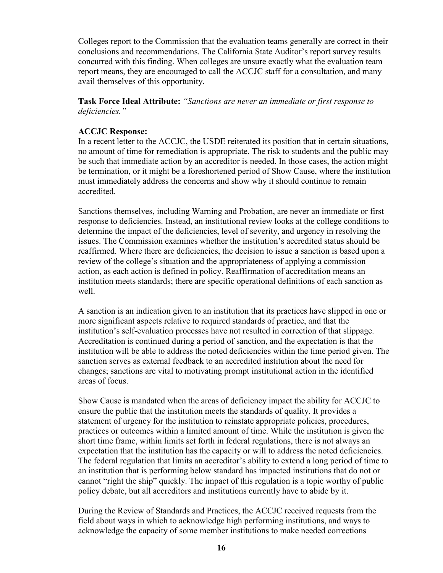Colleges report to the Commission that the evaluation teams generally are correct in their conclusions and recommendations. The California State Auditor's report survey results concurred with this finding. When colleges are unsure exactly what the evaluation team report means, they are encouraged to call the ACCJC staff for a consultation, and many avail themselves of this opportunity.

**Task Force Ideal Attribute:** *"Sanctions are never an immediate or first response to deficiencies."* 

#### **ACCJC Response:**

In a recent letter to the ACCJC, the USDE reiterated its position that in certain situations, no amount of time for remediation is appropriate. The risk to students and the public may be such that immediate action by an accreditor is needed. In those cases, the action might be termination, or it might be a foreshortened period of Show Cause, where the institution must immediately address the concerns and show why it should continue to remain accredited.

Sanctions themselves, including Warning and Probation, are never an immediate or first response to deficiencies. Instead, an institutional review looks at the college conditions to determine the impact of the deficiencies, level of severity, and urgency in resolving the issues. The Commission examines whether the institution's accredited status should be reaffirmed. Where there are deficiencies, the decision to issue a sanction is based upon a review of the college's situation and the appropriateness of applying a commission action, as each action is defined in policy. Reaffirmation of accreditation means an institution meets standards; there are specific operational definitions of each sanction as well.

A sanction is an indication given to an institution that its practices have slipped in one or more significant aspects relative to required standards of practice, and that the institution's self-evaluation processes have not resulted in correction of that slippage. Accreditation is continued during a period of sanction, and the expectation is that the institution will be able to address the noted deficiencies within the time period given. The sanction serves as external feedback to an accredited institution about the need for changes; sanctions are vital to motivating prompt institutional action in the identified areas of focus.

Show Cause is mandated when the areas of deficiency impact the ability for ACCJC to ensure the public that the institution meets the standards of quality. It provides a statement of urgency for the institution to reinstate appropriate policies, procedures, practices or outcomes within a limited amount of time. While the institution is given the short time frame, within limits set forth in federal regulations, there is not always an expectation that the institution has the capacity or will to address the noted deficiencies. The federal regulation that limits an accreditor's ability to extend a long period of time to an institution that is performing below standard has impacted institutions that do not or cannot "right the ship" quickly. The impact of this regulation is a topic worthy of public policy debate, but all accreditors and institutions currently have to abide by it.

During the Review of Standards and Practices, the ACCJC received requests from the field about ways in which to acknowledge high performing institutions, and ways to acknowledge the capacity of some member institutions to make needed corrections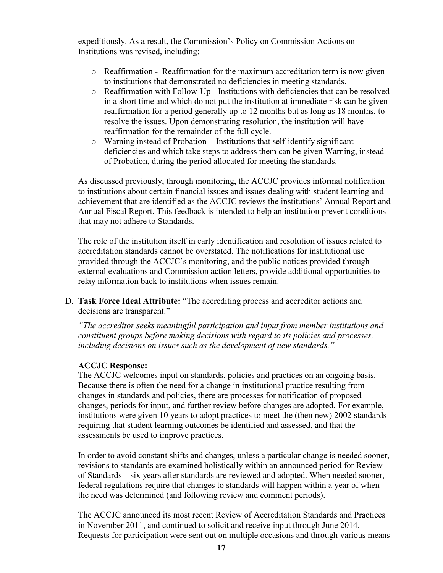expeditiously. As a result, the Commission's Policy on Commission Actions on Institutions was revised, including:

- o Reaffirmation Reaffirmation for the maximum accreditation term is now given to institutions that demonstrated no deficiencies in meeting standards.
- o Reaffirmation with Follow-Up Institutions with deficiencies that can be resolved in a short time and which do not put the institution at immediate risk can be given reaffirmation for a period generally up to 12 months but as long as 18 months, to resolve the issues. Upon demonstrating resolution, the institution will have reaffirmation for the remainder of the full cycle.
- o Warning instead of Probation Institutions that self-identify significant deficiencies and which take steps to address them can be given Warning, instead of Probation, during the period allocated for meeting the standards.

As discussed previously, through monitoring, the ACCJC provides informal notification to institutions about certain financial issues and issues dealing with student learning and achievement that are identified as the ACCJC reviews the institutions' Annual Report and Annual Fiscal Report. This feedback is intended to help an institution prevent conditions that may not adhere to Standards.

The role of the institution itself in early identification and resolution of issues related to accreditation standards cannot be overstated. The notifications for institutional use provided through the ACCJC's monitoring, and the public notices provided through external evaluations and Commission action letters, provide additional opportunities to relay information back to institutions when issues remain.

D. **Task Force Ideal Attribute:** "The accrediting process and accreditor actions and decisions are transparent."

*"The accreditor seeks meaningful participation and input from member institutions and constituent groups before making decisions with regard to its policies and processes, including decisions on issues such as the development of new standards."* 

## **ACCJC Response:**

The ACCJC welcomes input on standards, policies and practices on an ongoing basis. Because there is often the need for a change in institutional practice resulting from changes in standards and policies, there are processes for notification of proposed changes, periods for input, and further review before changes are adopted. For example, institutions were given 10 years to adopt practices to meet the (then new) 2002 standards requiring that student learning outcomes be identified and assessed, and that the assessments be used to improve practices.

In order to avoid constant shifts and changes, unless a particular change is needed sooner, revisions to standards are examined holistically within an announced period for Review of Standards – six years after standards are reviewed and adopted. When needed sooner, federal regulations require that changes to standards will happen within a year of when the need was determined (and following review and comment periods).

The ACCJC announced its most recent Review of Accreditation Standards and Practices in November 2011, and continued to solicit and receive input through June 2014. Requests for participation were sent out on multiple occasions and through various means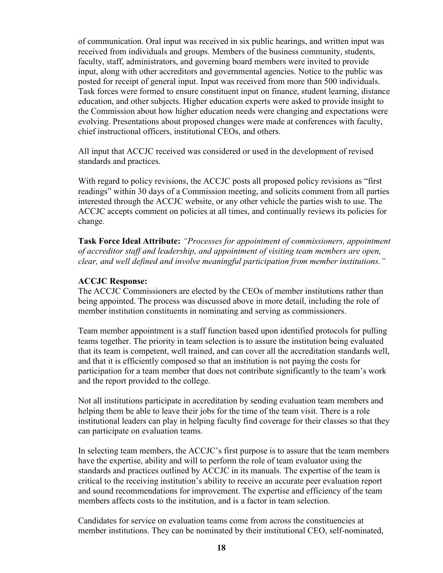of communication. Oral input was received in six public hearings, and written input was received from individuals and groups. Members of the business community, students, faculty, staff, administrators, and governing board members were invited to provide input, along with other accreditors and governmental agencies. Notice to the public was posted for receipt of general input. Input was received from more than 500 individuals. Task forces were formed to ensure constituent input on finance, student learning, distance education, and other subjects. Higher education experts were asked to provide insight to the Commission about how higher education needs were changing and expectations were evolving. Presentations about proposed changes were made at conferences with faculty, chief instructional officers, institutional CEOs, and others.

All input that ACCJC received was considered or used in the development of revised standards and practices.

With regard to policy revisions, the ACCJC posts all proposed policy revisions as "first readings" within 30 days of a Commission meeting, and solicits comment from all parties interested through the ACCJC website, or any other vehicle the parties wish to use. The ACCJC accepts comment on policies at all times, and continually reviews its policies for change.

**Task Force Ideal Attribute:** *"Processes for appointment of commissioners, appointment of accreditor staff and leadership, and appointment of visiting team members are open, clear, and well defined and involve meaningful participation from member institutions."* 

#### **ACCJC Response:**

The ACCJC Commissioners are elected by the CEOs of member institutions rather than being appointed. The process was discussed above in more detail, including the role of member institution constituents in nominating and serving as commissioners.

Team member appointment is a staff function based upon identified protocols for pulling teams together. The priority in team selection is to assure the institution being evaluated that its team is competent, well trained, and can cover all the accreditation standards well, and that it is efficiently composed so that an institution is not paying the costs for participation for a team member that does not contribute significantly to the team's work and the report provided to the college.

Not all institutions participate in accreditation by sending evaluation team members and helping them be able to leave their jobs for the time of the team visit. There is a role institutional leaders can play in helping faculty find coverage for their classes so that they can participate on evaluation teams.

In selecting team members, the ACCJC's first purpose is to assure that the team members have the expertise, ability and will to perform the role of team evaluator using the standards and practices outlined by ACCJC in its manuals. The expertise of the team is critical to the receiving institution's ability to receive an accurate peer evaluation report and sound recommendations for improvement. The expertise and efficiency of the team members affects costs to the institution, and is a factor in team selection.

Candidates for service on evaluation teams come from across the constituencies at member institutions. They can be nominated by their institutional CEO, self-nominated,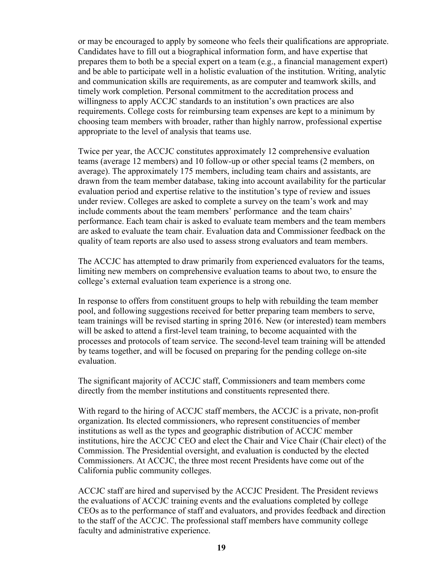or may be encouraged to apply by someone who feels their qualifications are appropriate. Candidates have to fill out a biographical information form, and have expertise that prepares them to both be a special expert on a team (e.g., a financial management expert) and be able to participate well in a holistic evaluation of the institution. Writing, analytic and communication skills are requirements, as are computer and teamwork skills, and timely work completion. Personal commitment to the accreditation process and willingness to apply ACCJC standards to an institution's own practices are also requirements. College costs for reimbursing team expenses are kept to a minimum by choosing team members with broader, rather than highly narrow, professional expertise appropriate to the level of analysis that teams use.

Twice per year, the ACCJC constitutes approximately 12 comprehensive evaluation teams (average 12 members) and 10 follow-up or other special teams (2 members, on average). The approximately 175 members, including team chairs and assistants, are drawn from the team member database, taking into account availability for the particular evaluation period and expertise relative to the institution's type of review and issues under review. Colleges are asked to complete a survey on the team's work and may include comments about the team members' performance and the team chairs' performance. Each team chair is asked to evaluate team members and the team members are asked to evaluate the team chair. Evaluation data and Commissioner feedback on the quality of team reports are also used to assess strong evaluators and team members.

The ACCJC has attempted to draw primarily from experienced evaluators for the teams, limiting new members on comprehensive evaluation teams to about two, to ensure the college's external evaluation team experience is a strong one.

In response to offers from constituent groups to help with rebuilding the team member pool, and following suggestions received for better preparing team members to serve, team trainings will be revised starting in spring 2016. New (or interested) team members will be asked to attend a first-level team training, to become acquainted with the processes and protocols of team service. The second-level team training will be attended by teams together, and will be focused on preparing for the pending college on-site evaluation.

The significant majority of ACCJC staff, Commissioners and team members come directly from the member institutions and constituents represented there.

With regard to the hiring of ACCJC staff members, the ACCJC is a private, non-profit organization. Its elected commissioners, who represent constituencies of member institutions as well as the types and geographic distribution of ACCJC member institutions, hire the ACCJC CEO and elect the Chair and Vice Chair (Chair elect) of the Commission. The Presidential oversight, and evaluation is conducted by the elected Commissioners. At ACCJC, the three most recent Presidents have come out of the California public community colleges.

ACCJC staff are hired and supervised by the ACCJC President. The President reviews the evaluations of ACCJC training events and the evaluations completed by college CEOs as to the performance of staff and evaluators, and provides feedback and direction to the staff of the ACCJC. The professional staff members have community college faculty and administrative experience.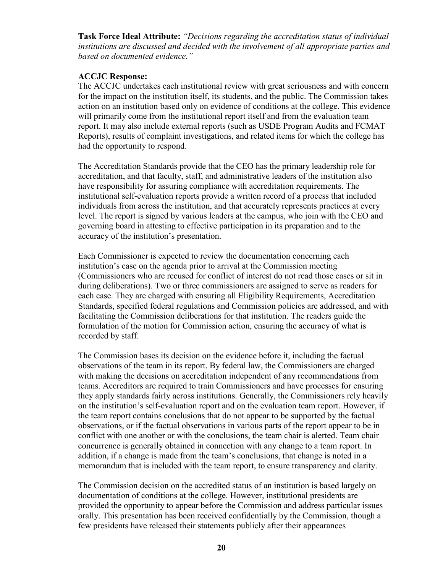**Task Force Ideal Attribute:** *"Decisions regarding the accreditation status of individual institutions are discussed and decided with the involvement of all appropriate parties and based on documented evidence."* 

#### **ACCJC Response:**

The ACCJC undertakes each institutional review with great seriousness and with concern for the impact on the institution itself, its students, and the public. The Commission takes action on an institution based only on evidence of conditions at the college. This evidence will primarily come from the institutional report itself and from the evaluation team report. It may also include external reports (such as USDE Program Audits and FCMAT Reports), results of complaint investigations, and related items for which the college has had the opportunity to respond.

The Accreditation Standards provide that the CEO has the primary leadership role for accreditation, and that faculty, staff, and administrative leaders of the institution also have responsibility for assuring compliance with accreditation requirements. The institutional self-evaluation reports provide a written record of a process that included individuals from across the institution, and that accurately represents practices at every level. The report is signed by various leaders at the campus, who join with the CEO and governing board in attesting to effective participation in its preparation and to the accuracy of the institution's presentation.

Each Commissioner is expected to review the documentation concerning each institution's case on the agenda prior to arrival at the Commission meeting (Commissioners who are recused for conflict of interest do not read those cases or sit in during deliberations). Two or three commissioners are assigned to serve as readers for each case. They are charged with ensuring all Eligibility Requirements, Accreditation Standards, specified federal regulations and Commission policies are addressed, and with facilitating the Commission deliberations for that institution. The readers guide the formulation of the motion for Commission action, ensuring the accuracy of what is recorded by staff.

The Commission bases its decision on the evidence before it, including the factual observations of the team in its report. By federal law, the Commissioners are charged with making the decisions on accreditation independent of any recommendations from teams. Accreditors are required to train Commissioners and have processes for ensuring they apply standards fairly across institutions. Generally, the Commissioners rely heavily on the institution's self-evaluation report and on the evaluation team report. However, if the team report contains conclusions that do not appear to be supported by the factual observations, or if the factual observations in various parts of the report appear to be in conflict with one another or with the conclusions, the team chair is alerted. Team chair concurrence is generally obtained in connection with any change to a team report. In addition, if a change is made from the team's conclusions, that change is noted in a memorandum that is included with the team report, to ensure transparency and clarity.

The Commission decision on the accredited status of an institution is based largely on documentation of conditions at the college. However, institutional presidents are provided the opportunity to appear before the Commission and address particular issues orally. This presentation has been received confidentially by the Commission, though a few presidents have released their statements publicly after their appearances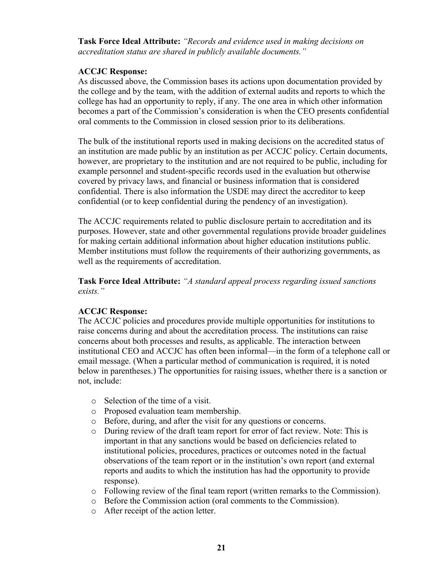**Task Force Ideal Attribute:** *"Records and evidence used in making decisions on accreditation status are shared in publicly available documents."* 

## **ACCJC Response:**

As discussed above, the Commission bases its actions upon documentation provided by the college and by the team, with the addition of external audits and reports to which the college has had an opportunity to reply, if any. The one area in which other information becomes a part of the Commission's consideration is when the CEO presents confidential oral comments to the Commission in closed session prior to its deliberations.

The bulk of the institutional reports used in making decisions on the accredited status of an institution are made public by an institution as per ACCJC policy. Certain documents, however, are proprietary to the institution and are not required to be public, including for example personnel and student-specific records used in the evaluation but otherwise covered by privacy laws, and financial or business information that is considered confidential. There is also information the USDE may direct the accreditor to keep confidential (or to keep confidential during the pendency of an investigation).

The ACCJC requirements related to public disclosure pertain to accreditation and its purposes. However, state and other governmental regulations provide broader guidelines for making certain additional information about higher education institutions public. Member institutions must follow the requirements of their authorizing governments, as well as the requirements of accreditation.

**Task Force Ideal Attribute:** *"A standard appeal process regarding issued sanctions exists."* 

#### **ACCJC Response:**

The ACCJC policies and procedures provide multiple opportunities for institutions to raise concerns during and about the accreditation process. The institutions can raise concerns about both processes and results, as applicable. The interaction between institutional CEO and ACCJC has often been informal—in the form of a telephone call or email message. (When a particular method of communication is required, it is noted below in parentheses.) The opportunities for raising issues, whether there is a sanction or not, include:

- o Selection of the time of a visit.
- o Proposed evaluation team membership.
- o Before, during, and after the visit for any questions or concerns.
- o During review of the draft team report for error of fact review. Note: This is important in that any sanctions would be based on deficiencies related to institutional policies, procedures, practices or outcomes noted in the factual observations of the team report or in the institution's own report (and external reports and audits to which the institution has had the opportunity to provide response).
- o Following review of the final team report (written remarks to the Commission).
- o Before the Commission action (oral comments to the Commission).
- o After receipt of the action letter.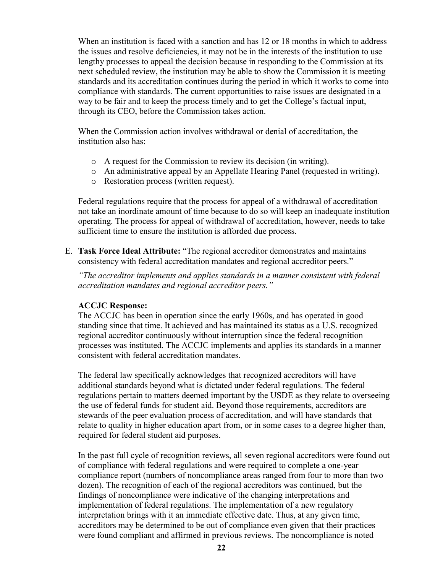When an institution is faced with a sanction and has 12 or 18 months in which to address the issues and resolve deficiencies, it may not be in the interests of the institution to use lengthy processes to appeal the decision because in responding to the Commission at its next scheduled review, the institution may be able to show the Commission it is meeting standards and its accreditation continues during the period in which it works to come into compliance with standards. The current opportunities to raise issues are designated in a way to be fair and to keep the process timely and to get the College's factual input, through its CEO, before the Commission takes action.

When the Commission action involves withdrawal or denial of accreditation, the institution also has:

- o A request for the Commission to review its decision (in writing).
- o An administrative appeal by an Appellate Hearing Panel (requested in writing).
- o Restoration process (written request).

Federal regulations require that the process for appeal of a withdrawal of accreditation not take an inordinate amount of time because to do so will keep an inadequate institution operating. The process for appeal of withdrawal of accreditation, however, needs to take sufficient time to ensure the institution is afforded due process.

E. **Task Force Ideal Attribute:** "The regional accreditor demonstrates and maintains consistency with federal accreditation mandates and regional accreditor peers."

*"The accreditor implements and applies standards in a manner consistent with federal accreditation mandates and regional accreditor peers."* 

## **ACCJC Response:**

The ACCJC has been in operation since the early 1960s, and has operated in good standing since that time. It achieved and has maintained its status as a U.S. recognized regional accreditor continuously without interruption since the federal recognition processes was instituted. The ACCJC implements and applies its standards in a manner consistent with federal accreditation mandates.

The federal law specifically acknowledges that recognized accreditors will have additional standards beyond what is dictated under federal regulations. The federal regulations pertain to matters deemed important by the USDE as they relate to overseeing the use of federal funds for student aid. Beyond those requirements, accreditors are stewards of the peer evaluation process of accreditation, and will have standards that relate to quality in higher education apart from, or in some cases to a degree higher than, required for federal student aid purposes.

In the past full cycle of recognition reviews, all seven regional accreditors were found out of compliance with federal regulations and were required to complete a one-year compliance report (numbers of noncompliance areas ranged from four to more than two dozen). The recognition of each of the regional accreditors was continued, but the findings of noncompliance were indicative of the changing interpretations and implementation of federal regulations. The implementation of a new regulatory interpretation brings with it an immediate effective date. Thus, at any given time, accreditors may be determined to be out of compliance even given that their practices were found compliant and affirmed in previous reviews. The noncompliance is noted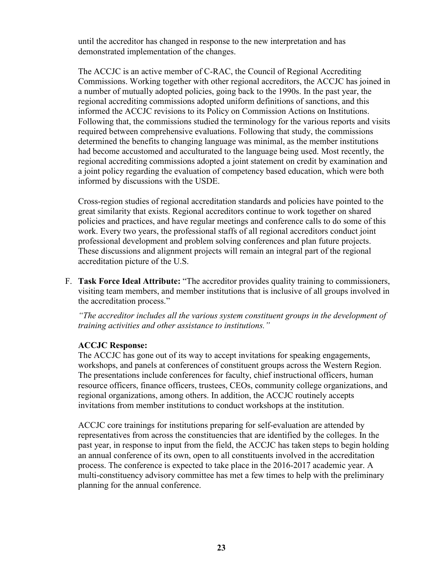until the accreditor has changed in response to the new interpretation and has demonstrated implementation of the changes.

The ACCJC is an active member of C-RAC, the Council of Regional Accrediting Commissions. Working together with other regional accreditors, the ACCJC has joined in a number of mutually adopted policies, going back to the 1990s. In the past year, the regional accrediting commissions adopted uniform definitions of sanctions, and this informed the ACCJC revisions to its Policy on Commission Actions on Institutions. Following that, the commissions studied the terminology for the various reports and visits required between comprehensive evaluations. Following that study, the commissions determined the benefits to changing language was minimal, as the member institutions had become accustomed and acculturated to the language being used. Most recently, the regional accrediting commissions adopted a joint statement on credit by examination and a joint policy regarding the evaluation of competency based education, which were both informed by discussions with the USDE.

Cross-region studies of regional accreditation standards and policies have pointed to the great similarity that exists. Regional accreditors continue to work together on shared policies and practices, and have regular meetings and conference calls to do some of this work. Every two years, the professional staffs of all regional accreditors conduct joint professional development and problem solving conferences and plan future projects. These discussions and alignment projects will remain an integral part of the regional accreditation picture of the U.S.

F. **Task Force Ideal Attribute:** "The accreditor provides quality training to commissioners, visiting team members, and member institutions that is inclusive of all groups involved in the accreditation process."

*"The accreditor includes all the various system constituent groups in the development of training activities and other assistance to institutions."* 

#### **ACCJC Response:**

The ACCJC has gone out of its way to accept invitations for speaking engagements, workshops, and panels at conferences of constituent groups across the Western Region. The presentations include conferences for faculty, chief instructional officers, human resource officers, finance officers, trustees, CEOs, community college organizations, and regional organizations, among others. In addition, the ACCJC routinely accepts invitations from member institutions to conduct workshops at the institution.

ACCJC core trainings for institutions preparing for self-evaluation are attended by representatives from across the constituencies that are identified by the colleges. In the past year, in response to input from the field, the ACCJC has taken steps to begin holding an annual conference of its own, open to all constituents involved in the accreditation process. The conference is expected to take place in the 2016-2017 academic year. A multi-constituency advisory committee has met a few times to help with the preliminary planning for the annual conference.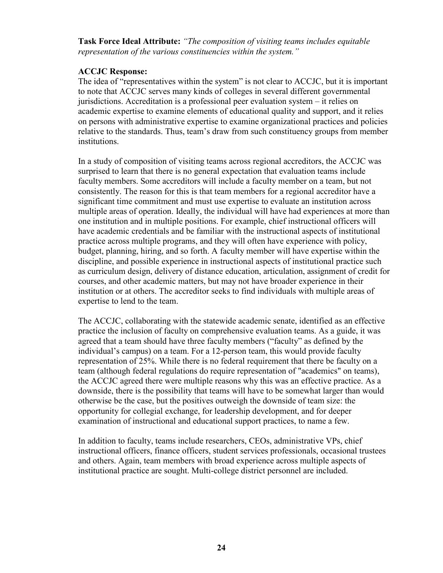**Task Force Ideal Attribute:** *"The composition of visiting teams includes equitable representation of the various constituencies within the system."* 

#### **ACCJC Response:**

The idea of "representatives within the system" is not clear to ACCJC, but it is important to note that ACCJC serves many kinds of colleges in several different governmental jurisdictions. Accreditation is a professional peer evaluation system – it relies on academic expertise to examine elements of educational quality and support, and it relies on persons with administrative expertise to examine organizational practices and policies relative to the standards. Thus, team's draw from such constituency groups from member institutions.

In a study of composition of visiting teams across regional accreditors, the ACCJC was surprised to learn that there is no general expectation that evaluation teams include faculty members. Some accreditors will include a faculty member on a team, but not consistently. The reason for this is that team members for a regional accreditor have a significant time commitment and must use expertise to evaluate an institution across multiple areas of operation. Ideally, the individual will have had experiences at more than one institution and in multiple positions. For example, chief instructional officers will have academic credentials and be familiar with the instructional aspects of institutional practice across multiple programs, and they will often have experience with policy, budget, planning, hiring, and so forth. A faculty member will have expertise within the discipline, and possible experience in instructional aspects of institutional practice such as curriculum design, delivery of distance education, articulation, assignment of credit for courses, and other academic matters, but may not have broader experience in their institution or at others. The accreditor seeks to find individuals with multiple areas of expertise to lend to the team.

The ACCJC, collaborating with the statewide academic senate, identified as an effective practice the inclusion of faculty on comprehensive evaluation teams. As a guide, it was agreed that a team should have three faculty members ("faculty" as defined by the individual's campus) on a team. For a 12-person team, this would provide faculty representation of 25%. While there is no federal requirement that there be faculty on a team (although federal regulations do require representation of "academics" on teams), the ACCJC agreed there were multiple reasons why this was an effective practice. As a downside, there is the possibility that teams will have to be somewhat larger than would otherwise be the case, but the positives outweigh the downside of team size: the opportunity for collegial exchange, for leadership development, and for deeper examination of instructional and educational support practices, to name a few.

In addition to faculty, teams include researchers, CEOs, administrative VPs, chief instructional officers, finance officers, student services professionals, occasional trustees and others. Again, team members with broad experience across multiple aspects of institutional practice are sought. Multi-college district personnel are included.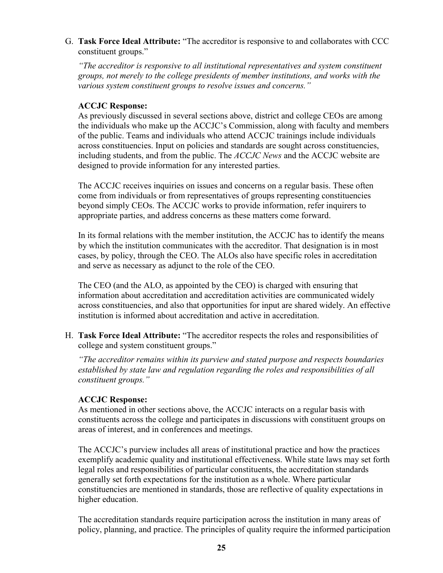G. **Task Force Ideal Attribute:** "The accreditor is responsive to and collaborates with CCC constituent groups."

*"The accreditor is responsive to all institutional representatives and system constituent groups, not merely to the college presidents of member institutions, and works with the various system constituent groups to resolve issues and concerns."* 

## **ACCJC Response:**

As previously discussed in several sections above, district and college CEOs are among the individuals who make up the ACCJC's Commission, along with faculty and members of the public. Teams and individuals who attend ACCJC trainings include individuals across constituencies. Input on policies and standards are sought across constituencies, including students, and from the public. The *ACCJC News* and the ACCJC website are designed to provide information for any interested parties.

The ACCJC receives inquiries on issues and concerns on a regular basis. These often come from individuals or from representatives of groups representing constituencies beyond simply CEOs. The ACCJC works to provide information, refer inquirers to appropriate parties, and address concerns as these matters come forward.

In its formal relations with the member institution, the ACCJC has to identify the means by which the institution communicates with the accreditor. That designation is in most cases, by policy, through the CEO. The ALOs also have specific roles in accreditation and serve as necessary as adjunct to the role of the CEO.

The CEO (and the ALO, as appointed by the CEO) is charged with ensuring that information about accreditation and accreditation activities are communicated widely across constituencies, and also that opportunities for input are shared widely. An effective institution is informed about accreditation and active in accreditation.

H. **Task Force Ideal Attribute:** "The accreditor respects the roles and responsibilities of college and system constituent groups."

*"The accreditor remains within its purview and stated purpose and respects boundaries established by state law and regulation regarding the roles and responsibilities of all constituent groups."* 

## **ACCJC Response:**

As mentioned in other sections above, the ACCJC interacts on a regular basis with constituents across the college and participates in discussions with constituent groups on areas of interest, and in conferences and meetings.

The ACCJC's purview includes all areas of institutional practice and how the practices exemplify academic quality and institutional effectiveness. While state laws may set forth legal roles and responsibilities of particular constituents, the accreditation standards generally set forth expectations for the institution as a whole. Where particular constituencies are mentioned in standards, those are reflective of quality expectations in higher education.

The accreditation standards require participation across the institution in many areas of policy, planning, and practice. The principles of quality require the informed participation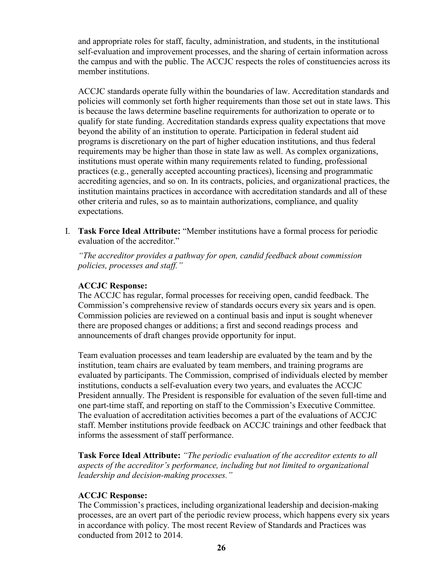and appropriate roles for staff, faculty, administration, and students, in the institutional self-evaluation and improvement processes, and the sharing of certain information across the campus and with the public. The ACCJC respects the roles of constituencies across its member institutions.

ACCJC standards operate fully within the boundaries of law. Accreditation standards and policies will commonly set forth higher requirements than those set out in state laws. This is because the laws determine baseline requirements for authorization to operate or to qualify for state funding. Accreditation standards express quality expectations that move beyond the ability of an institution to operate. Participation in federal student aid programs is discretionary on the part of higher education institutions, and thus federal requirements may be higher than those in state law as well. As complex organizations, institutions must operate within many requirements related to funding, professional practices (e.g., generally accepted accounting practices), licensing and programmatic accrediting agencies, and so on. In its contracts, policies, and organizational practices, the institution maintains practices in accordance with accreditation standards and all of these other criteria and rules, so as to maintain authorizations, compliance, and quality expectations.

I. **Task Force Ideal Attribute:** "Member institutions have a formal process for periodic evaluation of the accreditor."

*"The accreditor provides a pathway for open, candid feedback about commission policies, processes and staff."* 

#### **ACCJC Response:**

The ACCJC has regular, formal processes for receiving open, candid feedback. The Commission's comprehensive review of standards occurs every six years and is open. Commission policies are reviewed on a continual basis and input is sought whenever there are proposed changes or additions; a first and second readings process and announcements of draft changes provide opportunity for input.

Team evaluation processes and team leadership are evaluated by the team and by the institution, team chairs are evaluated by team members, and training programs are evaluated by participants. The Commission, comprised of individuals elected by member institutions, conducts a self-evaluation every two years, and evaluates the ACCJC President annually. The President is responsible for evaluation of the seven full-time and one part-time staff, and reporting on staff to the Commission's Executive Committee. The evaluation of accreditation activities becomes a part of the evaluations of ACCJC staff. Member institutions provide feedback on ACCJC trainings and other feedback that informs the assessment of staff performance.

**Task Force Ideal Attribute:** *"The periodic evaluation of the accreditor extents to all aspects of the accreditor's performance, including but not limited to organizational leadership and decision-making processes."* 

## **ACCJC Response:**

The Commission's practices, including organizational leadership and decision-making processes, are an overt part of the periodic review process, which happens every six years in accordance with policy. The most recent Review of Standards and Practices was conducted from 2012 to 2014.